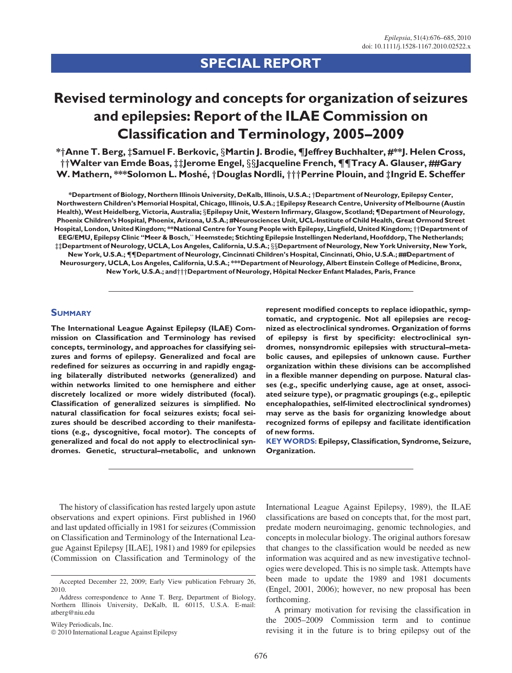# SPECIAL REPORT

# Revised terminology and concepts for organization of seizures and epilepsies: Report of the ILAE Commission on Classification and Terminology, 2005–2009

\*†Anne T. Berg, ±Samuel F. Berkovic, §Martin I. Brodie, ¶leffrey Buchhalter, #\*\*I. Helen Cross, tt Walter van Emde Boas, ##Jerome Engel, §§Jacqueline French,  $\P$  Tracy A. Glauser, ##Gary W. Mathern, \*\*\*Solomon L. Moshé, †Douglas Nordli, †††Perrine Plouin, and ±Ingrid E. Scheffer

\*Department of Biology, Northern Illinois University, DeKalb, Illinois, U.S.A.; †Department of Neurology, Epilepsy Center, Northwestern Children's Memorial Hospital, Chicago, Illinois, U.S.A.; zEpilepsy Research Centre, University of Melbourne (Austin Health), West Heidelberg, Victoria, Australia; §Epilepsy Unit, Western Infirmary, Glasgow, Scotland; ¶Department of Neurology, Phoenix Children's Hospital, Phoenix, Arizona, U.S.A.; #Neurosciences Unit, UCL-Institute of Child Health, Great Ormond Street Hospital, London, United Kingdom; \*\*National Centre for Young People with Epilepsy, Lingfield, United Kingdom; ††Department of EEG/EMU, Epilepsy Clinic ''Meer & Bosch,'' Heemstede; Stichting Epilepsie Instellingen Nederland, Hoofddorp, The Netherlands;  $\ddagger$ ‡Department of Neurology, UCLA, Los Angeles, California, U.S.A.; §§Department of Neurology, New York University, New York, New York, U.S.A.; "["Department of Neurology, Cincinnati Children's Hospital, Cincinnati, Ohio, U.S.A.; ##Department of Neurosurgery, UCLA, Los Angeles, California, U.S.A.; \*\*\*Department of Neurology, Albert Einstein College of Medicine, Bronx, New York, U.S.A.; and † † † Department of Neurology, Hôpital Necker Enfant Malades, Paris, France

### **SUMMARY**

The International League Against Epilepsy (ILAE) Commission on Classification and Terminology has revised concepts, terminology, and approaches for classifying seizures and forms of epilepsy. Generalized and focal are redefined for seizures as occurring in and rapidly engaging bilaterally distributed networks (generalized) and within networks limited to one hemisphere and either discretely localized or more widely distributed (focal). Classification of generalized seizures is simplified. No natural classification for focal seizures exists; focal seizures should be described according to their manifestations (e.g., dyscognitive, focal motor). The concepts of generalized and focal do not apply to electroclinical syndromes. Genetic, structural–metabolic, and unknown

represent modified concepts to replace idiopathic, symptomatic, and cryptogenic. Not all epilepsies are recognized as electroclinical syndromes. Organization of forms of epilepsy is first by specificity: electroclinical syndromes, nonsyndromic epilepsies with structural–metabolic causes, and epilepsies of unknown cause. Further organization within these divisions can be accomplished in a flexible manner depending on purpose. Natural classes (e.g., specific underlying cause, age at onset, associated seizure type), or pragmatic groupings (e.g., epileptic encephalopathies, self-limited electroclinical syndromes) may serve as the basis for organizing knowledge about recognized forms of epilepsy and facilitate identification of new forms.

KEY WORDS: Epilepsy, Classification, Syndrome, Seizure, Organization.

The history of classification has rested largely upon astute observations and expert opinions. First published in 1960 and last updated officially in 1981 for seizures (Commission on Classification and Terminology of the International League Against Epilepsy [ILAE], 1981) and 1989 for epilepsies (Commission on Classification and Terminology of the

Wiley Periodicals, Inc.

© 2010 International League Against Epilepsy

International League Against Epilepsy, 1989), the ILAE classifications are based on concepts that, for the most part, predate modern neuroimaging, genomic technologies, and concepts in molecular biology. The original authors foresaw that changes to the classification would be needed as new information was acquired and as new investigative technologies were developed. This is no simple task. Attempts have been made to update the 1989 and 1981 documents (Engel, 2001, 2006); however, no new proposal has been forthcoming.

A primary motivation for revising the classification in the 2005–2009 Commission term and to continue revising it in the future is to bring epilepsy out of the

Accepted December 22, 2009; Early View publication February 26, 2010.

Address correspondence to Anne T. Berg, Department of Biology, Northern Illinois University, DeKalb, IL 60115, U.S.A. E-mail: atberg@niu.edu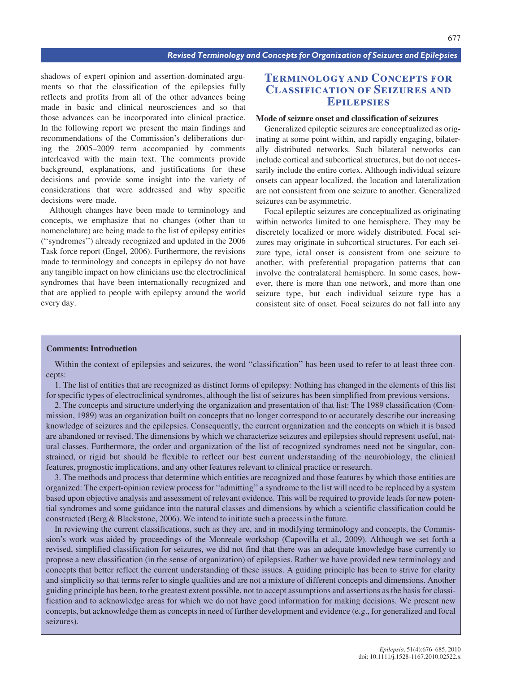#### Revised Terminology and Concepts for Organization of Seizures and Epilepsies

shadows of expert opinion and assertion-dominated arguments so that the classification of the epilepsies fully reflects and profits from all of the other advances being made in basic and clinical neurosciences and so that those advances can be incorporated into clinical practice. In the following report we present the main findings and recommendations of the Commission's deliberations during the 2005–2009 term accompanied by comments interleaved with the main text. The comments provide background, explanations, and justifications for these decisions and provide some insight into the variety of considerations that were addressed and why specific decisions were made.

Although changes have been made to terminology and concepts, we emphasize that no changes (other than to nomenclature) are being made to the list of epilepsy entities (''syndromes'') already recognized and updated in the 2006 Task force report (Engel, 2006). Furthermore, the revisions made to terminology and concepts in epilepsy do not have any tangible impact on how clinicians use the electroclinical syndromes that have been internationally recognized and that are applied to people with epilepsy around the world every day.

## Terminology and Concepts for Classification of Seizures and **EPILEPSIES**

#### Mode of seizure onset and classification of seizures

Generalized epileptic seizures are conceptualized as originating at some point within, and rapidly engaging, bilaterally distributed networks. Such bilateral networks can include cortical and subcortical structures, but do not necessarily include the entire cortex. Although individual seizure onsets can appear localized, the location and lateralization are not consistent from one seizure to another. Generalized seizures can be asymmetric.

Focal epileptic seizures are conceptualized as originating within networks limited to one hemisphere. They may be discretely localized or more widely distributed. Focal seizures may originate in subcortical structures. For each seizure type, ictal onset is consistent from one seizure to another, with preferential propagation patterns that can involve the contralateral hemisphere. In some cases, however, there is more than one network, and more than one seizure type, but each individual seizure type has a consistent site of onset. Focal seizures do not fall into any

#### Comments: Introduction

Within the context of epilepsies and seizures, the word ''classification'' has been used to refer to at least three concepts:

1. The list of entities that are recognized as distinct forms of epilepsy: Nothing has changed in the elements of this list for specific types of electroclinical syndromes, although the list of seizures has been simplified from previous versions.

2. The concepts and structure underlying the organization and presentation of that list: The 1989 classification (Commission, 1989) was an organization built on concepts that no longer correspond to or accurately describe our increasing knowledge of seizures and the epilepsies. Consequently, the current organization and the concepts on which it is based are abandoned or revised. The dimensions by which we characterize seizures and epilepsies should represent useful, natural classes. Furthermore, the order and organization of the list of recognized syndromes need not be singular, constrained, or rigid but should be flexible to reflect our best current understanding of the neurobiology, the clinical features, prognostic implications, and any other features relevant to clinical practice or research.

3. The methods and process that determine which entities are recognized and those features by which those entities are organized: The expert-opinion review process for ''admitting'' a syndrome to the list will need to be replaced by a system based upon objective analysis and assessment of relevant evidence. This will be required to provide leads for new potential syndromes and some guidance into the natural classes and dimensions by which a scientific classification could be constructed (Berg & Blackstone, 2006). We intend to initiate such a process in the future.

In reviewing the current classifications, such as they are, and in modifying terminology and concepts, the Commission's work was aided by proceedings of the Monreale workshop (Capovilla et al., 2009). Although we set forth a revised, simplified classification for seizures, we did not find that there was an adequate knowledge base currently to propose a new classification (in the sense of organization) of epilepsies. Rather we have provided new terminology and concepts that better reflect the current understanding of these issues. A guiding principle has been to strive for clarity and simplicity so that terms refer to single qualities and are not a mixture of different concepts and dimensions. Another guiding principle has been, to the greatest extent possible, not to accept assumptions and assertions as the basis for classification and to acknowledge areas for which we do not have good information for making decisions. We present new concepts, but acknowledge them as concepts in need of further development and evidence (e.g., for generalized and focal seizures).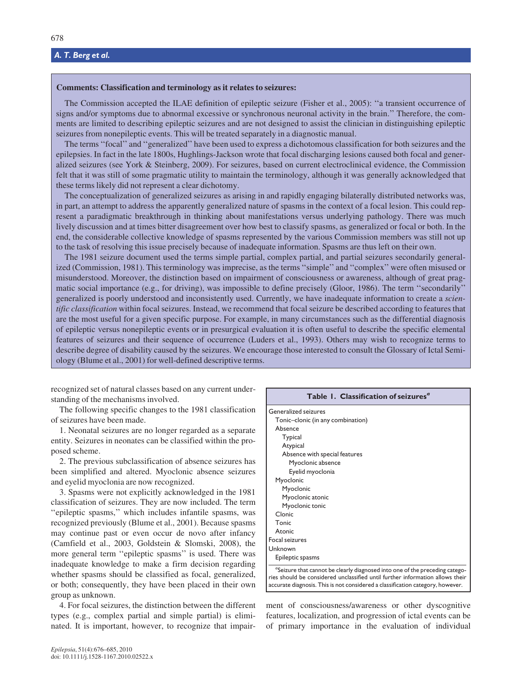## A. T. Berg et al.

#### Comments: Classification and terminology as it relates to seizures:

The Commission accepted the ILAE definition of epileptic seizure (Fisher et al., 2005): ''a transient occurrence of signs and/or symptoms due to abnormal excessive or synchronous neuronal activity in the brain." Therefore, the comments are limited to describing epileptic seizures and are not designed to assist the clinician in distinguishing epileptic seizures from nonepileptic events. This will be treated separately in a diagnostic manual.

The terms ''focal'' and ''generalized'' have been used to express a dichotomous classification for both seizures and the epilepsies. In fact in the late 1800s, Hughlings-Jackson wrote that focal discharging lesions caused both focal and generalized seizures (see York & Steinberg, 2009). For seizures, based on current electroclinical evidence, the Commission felt that it was still of some pragmatic utility to maintain the terminology, although it was generally acknowledged that these terms likely did not represent a clear dichotomy.

The conceptualization of generalized seizures as arising in and rapidly engaging bilaterally distributed networks was, in part, an attempt to address the apparently generalized nature of spasms in the context of a focal lesion. This could represent a paradigmatic breakthrough in thinking about manifestations versus underlying pathology. There was much lively discussion and at times bitter disagreement over how best to classify spasms, as generalized or focal or both. In the end, the considerable collective knowledge of spasms represented by the various Commission members was still not up to the task of resolving this issue precisely because of inadequate information. Spasms are thus left on their own.

The 1981 seizure document used the terms simple partial, complex partial, and partial seizures secondarily generalized (Commission, 1981). This terminology was imprecise, as the terms ''simple'' and ''complex'' were often misused or misunderstood. Moreover, the distinction based on impairment of consciousness or awareness, although of great pragmatic social importance (e.g., for driving), was impossible to define precisely (Gloor, 1986). The term ''secondarily'' generalized is poorly understood and inconsistently used. Currently, we have inadequate information to create a scientific classification within focal seizures. Instead, we recommend that focal seizure be described according to features that are the most useful for a given specific purpose. For example, in many circumstances such as the differential diagnosis of epileptic versus nonepileptic events or in presurgical evaluation it is often useful to describe the specific elemental features of seizures and their sequence of occurrence (Luders et al., 1993). Others may wish to recognize terms to describe degree of disability caused by the seizures. We encourage those interested to consult the Glossary of Ictal Semiology (Blume et al., 2001) for well-defined descriptive terms.

recognized set of natural classes based on any current understanding of the mechanisms involved.

The following specific changes to the 1981 classification of seizures have been made.

1. Neonatal seizures are no longer regarded as a separate entity. Seizures in neonates can be classified within the proposed scheme.

2. The previous subclassification of absence seizures has been simplified and altered. Myoclonic absence seizures and eyelid myoclonia are now recognized.

3. Spasms were not explicitly acknowledged in the 1981 classification of seizures. They are now included. The term ''epileptic spasms,'' which includes infantile spasms, was recognized previously (Blume et al., 2001). Because spasms may continue past or even occur de novo after infancy (Camfield et al., 2003, Goldstein & Slomski, 2008), the more general term ''epileptic spasms'' is used. There was inadequate knowledge to make a firm decision regarding whether spasms should be classified as focal, generalized, or both; consequently, they have been placed in their own group as unknown.

4. For focal seizures, the distinction between the different types (e.g., complex partial and simple partial) is eliminated. It is important, however, to recognize that impair-

| Table 1. Classification of seizures <sup>a</sup>                                                                                                             |
|--------------------------------------------------------------------------------------------------------------------------------------------------------------|
| Generalized seizures                                                                                                                                         |
| Tonic-clonic (in any combination)                                                                                                                            |
| Absence                                                                                                                                                      |
| <b>Typical</b>                                                                                                                                               |
| Atypical                                                                                                                                                     |
| Absence with special features                                                                                                                                |
| Myoclonic absence                                                                                                                                            |
| Eyelid myoclonia                                                                                                                                             |
| Myoclonic                                                                                                                                                    |
| Myoclonic                                                                                                                                                    |
| Myoclonic atonic                                                                                                                                             |
| Myoclonic tonic                                                                                                                                              |
| Clonic                                                                                                                                                       |
| Tonic                                                                                                                                                        |
| Atonic                                                                                                                                                       |
| Focal seizures                                                                                                                                               |
| Unknown                                                                                                                                                      |
| Epileptic spasms                                                                                                                                             |
| "Seizure that cannot be clearly diagnosed into one of the preceding catego-<br>ries should be considered unclassified until further information allows their |

ment of consciousness/awareness or other dyscognitive features, localization, and progression of ictal events can be of primary importance in the evaluation of individual

accurate diagnosis. This is not considered a classification category, however.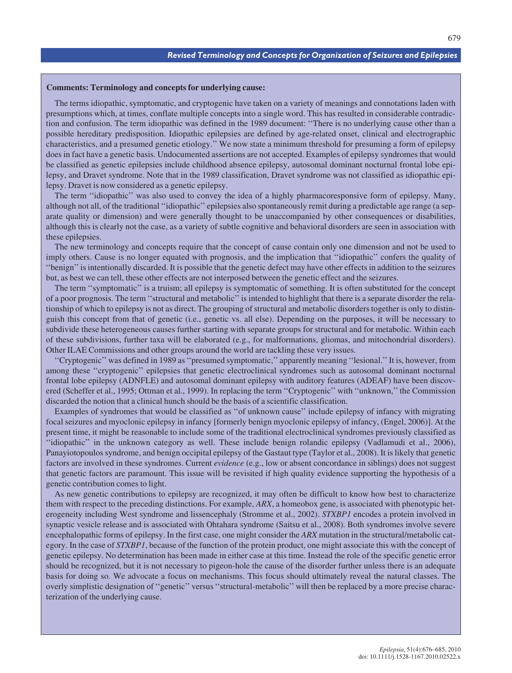#### Comments: Terminology and concepts for underlying cause:

The terms idiopathic, symptomatic, and cryptogenic have taken on a variety of meanings and connotations laden with presumptions which, at times, conflate multiple concepts into a single word. This has resulted in considerable contradiction and confusion. The term idiopathic was defined in the 1989 document: ''There is no underlying cause other than a possible hereditary predisposition. Idiopathic epilepsies are defined by age-related onset, clinical and electrographic characteristics, and a presumed genetic etiology.'' We now state a minimum threshold for presuming a form of epilepsy does in fact have a genetic basis. Undocumented assertions are not accepted. Examples of epilepsy syndromes that would be classified as genetic epilepsies include childhood absence epilepsy, autosomal dominant nocturnal frontal lobe epilepsy, and Dravet syndrome. Note that in the 1989 classification, Dravet syndrome was not classified as idiopathic epilepsy. Dravet is now considered as a genetic epilepsy.

The term ''idiopathic'' was also used to convey the idea of a highly pharmacoresponsive form of epilepsy. Many, although not all, of the traditional ''idiopathic'' epilepsies also spontaneously remit during a predictable age range (a separate quality or dimension) and were generally thought to be unaccompanied by other consequences or disabilities, although this is clearly not the case, as a variety of subtle cognitive and behavioral disorders are seen in association with these epilepsies.

The new terminology and concepts require that the concept of cause contain only one dimension and not be used to imply others. Cause is no longer equated with prognosis, and the implication that ''idiopathic'' confers the quality of ''benign'' is intentionally discarded. It is possible that the genetic defect may have other effects in addition to the seizures but, as best we can tell, these other effects are not interposed between the genetic effect and the seizures.

The term ''symptomatic'' is a truism; all epilepsy is symptomatic of something. It is often substituted for the concept of a poor prognosis. The term ''structural and metabolic'' is intended to highlight that there is a separate disorder the relationship of which to epilepsy is not as direct. The grouping of structural and metabolic disorders together is only to distinguish this concept from that of genetic (i.e., genetic vs. all else). Depending on the purposes, it will be necessary to subdivide these heterogeneous causes further starting with separate groups for structural and for metabolic. Within each of these subdivisions, further taxa will be elaborated (e.g., for malformations, gliomas, and mitochondrial disorders). Other ILAE Commissions and other groups around the world are tackling these very issues.

''Cryptogenic'' was defined in 1989 as ''presumed symptomatic,'' apparently meaning ''lesional.'' It is, however, from among these ''cryptogenic'' epilepsies that genetic electroclinical syndromes such as autosomal dominant nocturnal frontal lobe epilepsy (ADNFLE) and autosomal dominant epilepsy with auditory features (ADEAF) have been discovered (Scheffer et al., 1995; Ottman et al., 1999). In replacing the term ''Cryptogenic'' with ''unknown,'' the Commission discarded the notion that a clinical hunch should be the basis of a scientific classification.

Examples of syndromes that would be classified as "of unknown cause" include epilepsy of infancy with migrating focal seizures and myoclonic epilepsy in infancy [formerly benign myoclonic epilepsy of infancy, (Engel, 2006)]. At the present time, it might be reasonable to include some of the traditional electroclinical syndromes previously classified as ''idiopathic'' in the unknown category as well. These include benign rolandic epilepsy (Vadlamudi et al., 2006), Panayiotopoulos syndrome, and benign occipital epilepsy of the Gastaut type (Taylor et al., 2008). It is likely that genetic factors are involved in these syndromes. Current *evidence* (e.g., low or absent concordance in siblings) does not suggest that genetic factors are paramount. This issue will be revisited if high quality evidence supporting the hypothesis of a genetic contribution comes to light.

As new genetic contributions to epilepsy are recognized, it may often be difficult to know how best to characterize them with respect to the preceding distinctions. For example, ARX, a homeobox gene, is associated with phenotypic heterogeneity including West syndrome and lissencephaly (Stromme et al., 2002). STXBP1 encodes a protein involved in synaptic vesicle release and is associated with Ohtahara syndrome (Saitsu et al., 2008). Both syndromes involve severe encephalopathic forms of epilepsy. In the first case, one might consider the ARX mutation in the structural/metabolic category. In the case of STXBP1, because of the function of the protein product, one might associate this with the concept of genetic epilepsy. No determination has been made in either case at this time. Instead the role of the specific genetic error should be recognized, but it is not necessary to pigeon-hole the cause of the disorder further unless there is an adequate basis for doing so. We advocate a focus on mechanisms. This focus should ultimately reveal the natural classes. The overly simplistic designation of ''genetic'' versus ''structural-metabolic'' will then be replaced by a more precise characterization of the underlying cause.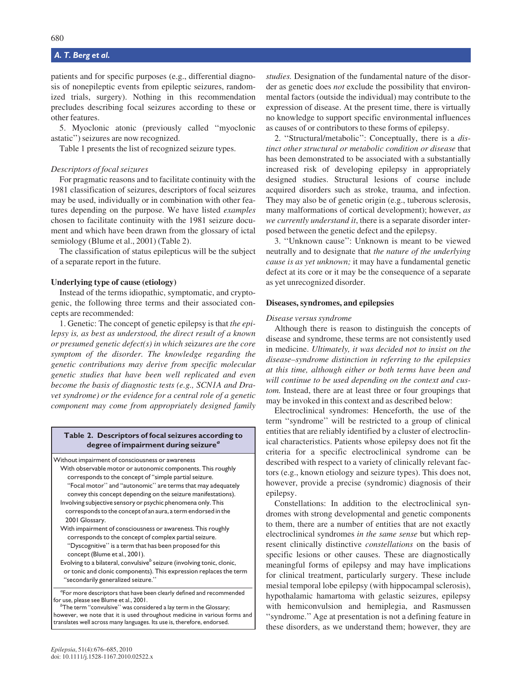patients and for specific purposes (e.g., differential diagnosis of nonepileptic events from epileptic seizures, randomized trials, surgery). Nothing in this recommendation precludes describing focal seizures according to these or other features.

5. Myoclonic atonic (previously called ''myoclonic astatic'') seizures are now recognized.

Table 1 presents the list of recognized seizure types.

#### Descriptors of focal seizures

For pragmatic reasons and to facilitate continuity with the 1981 classification of seizures, descriptors of focal seizures may be used, individually or in combination with other features depending on the purpose. We have listed examples chosen to facilitate continuity with the 1981 seizure document and which have been drawn from the glossary of ictal semiology (Blume et al., 2001) (Table 2).

The classification of status epilepticus will be the subject of a separate report in the future.

#### Underlying type of cause (etiology)

Instead of the terms idiopathic, symptomatic, and cryptogenic, the following three terms and their associated concepts are recommended:

1. Genetic: The concept of genetic epilepsy is that the epilepsy is, as best as understood, the direct result of a known or presumed genetic defect(s) in which seizures are the core symptom of the disorder. The knowledge regarding the genetic contributions may derive from specific molecular genetic studies that have been well replicated and even become the basis of diagnostic tests (e.g., SCN1A and Dravet syndrome) or the evidence for a central role of a genetic component may come from appropriately designed family

#### Table 2. Descriptors of focal seizures according to degree of impairment during seizure<sup>a</sup>

Without impairment of consciousness or awareness

- With observable motor or autonomic components. This roughly corresponds to the concept of ''simple partial seizure.
	- ''Focal motor'' and ''autonomic'' are terms that may adequately convey this concept depending on the seizure manifestations).

Involving subjective sensory or psychic phenomena only. This corresponds to the concept of an aura, a term endorsed in the 2001 Glossary.

- With impairment of consciousness or awareness. This roughly corresponds to the concept of complex partial seizure. ''Dyscognitive'' is a term that has been proposed for this concept (Blume et al., 2001).
- Evolving to a bilateral, convulsive<sup>b</sup> seizure (involving tonic, clonic, or tonic and clonic components). This expression replaces the term ''secondarily generalized seizure.''

<sup>a</sup>For more descriptors that have been clearly defined and recommended for use, please see Blume et al., 2001.

 $<sup>b</sup>$ The term "convulsive" was considered a lay term in the Glossary;</sup> however, we note that it is used throughout medicine in various forms and translates well across many languages. Its use is, therefore, endorsed.

studies. Designation of the fundamental nature of the disorder as genetic does *not* exclude the possibility that environmental factors (outside the individual) may contribute to the expression of disease. At the present time, there is virtually no knowledge to support specific environmental influences as causes of or contributors to these forms of epilepsy.

2. ''Structural/metabolic'': Conceptually, there is a distinct other structural or metabolic condition or disease that has been demonstrated to be associated with a substantially increased risk of developing epilepsy in appropriately designed studies. Structural lesions of course include acquired disorders such as stroke, trauma, and infection. They may also be of genetic origin (e.g., tuberous sclerosis, many malformations of cortical development); however, as we currently understand it, there is a separate disorder interposed between the genetic defect and the epilepsy.

3. ''Unknown cause'': Unknown is meant to be viewed neutrally and to designate that the nature of the underlying cause is as yet unknown; it may have a fundamental genetic defect at its core or it may be the consequence of a separate as yet unrecognized disorder.

#### Diseases, syndromes, and epilepsies

#### Disease versus syndrome

Although there is reason to distinguish the concepts of disease and syndrome, these terms are not consistently used in medicine. Ultimately, it was decided not to insist on the disease–syndrome distinction in referring to the epilepsies at this time, although either or both terms have been and will continue to be used depending on the context and custom. Instead, there are at least three or four groupings that may be invoked in this context and as described below:

Electroclinical syndromes: Henceforth, the use of the term ''syndrome'' will be restricted to a group of clinical entities that are reliably identified by a cluster of electroclinical characteristics. Patients whose epilepsy does not fit the criteria for a specific electroclinical syndrome can be described with respect to a variety of clinically relevant factors (e.g., known etiology and seizure types). This does not, however, provide a precise (syndromic) diagnosis of their epilepsy.

Constellations: In addition to the electroclinical syndromes with strong developmental and genetic components to them, there are a number of entities that are not exactly electroclinical syndromes in the same sense but which represent clinically distinctive constellations on the basis of specific lesions or other causes. These are diagnostically meaningful forms of epilepsy and may have implications for clinical treatment, particularly surgery. These include mesial temporal lobe epilepsy (with hippocampal sclerosis), hypothalamic hamartoma with gelastic seizures, epilepsy with hemiconvulsion and hemiplegia, and Rasmussen ''syndrome.'' Age at presentation is not a defining feature in these disorders, as we understand them; however, they are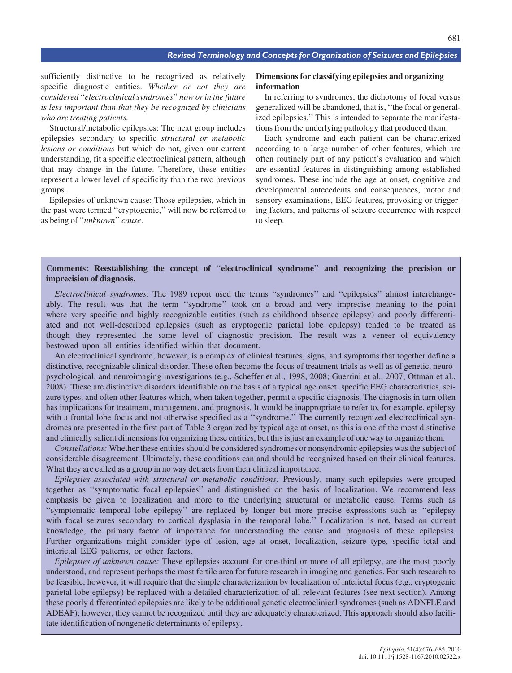#### Revised Terminology and Concepts for Organization of Seizures and Epilepsies

sufficiently distinctive to be recognized as relatively specific diagnostic entities. Whether or not they are considered ''electroclinical syndromes'' now or in the future is less important than that they be recognized by clinicians who are treating patients.

Structural/metabolic epilepsies: The next group includes epilepsies secondary to specific structural or metabolic lesions or conditions but which do not, given our current understanding, fit a specific electroclinical pattern, although that may change in the future. Therefore, these entities represent a lower level of specificity than the two previous groups.

Epilepsies of unknown cause: Those epilepsies, which in the past were termed ''cryptogenic,'' will now be referred to as being of "unknown" cause.

## Dimensions for classifying epilepsies and organizing information

In referring to syndromes, the dichotomy of focal versus generalized will be abandoned, that is, ''the focal or generalized epilepsies.'' This is intended to separate the manifestations from the underlying pathology that produced them.

Each syndrome and each patient can be characterized according to a large number of other features, which are often routinely part of any patient's evaluation and which are essential features in distinguishing among established syndromes. These include the age at onset, cognitive and developmental antecedents and consequences, motor and sensory examinations, EEG features, provoking or triggering factors, and patterns of seizure occurrence with respect to sleep.

## Comments: Reestablishing the concept of ''electroclinical syndrome'' and recognizing the precision or imprecision of diagnosis.

Electroclinical syndromes: The 1989 report used the terms ''syndromes'' and ''epilepsies'' almost interchangeably. The result was that the term ''syndrome'' took on a broad and very imprecise meaning to the point where very specific and highly recognizable entities (such as childhood absence epilepsy) and poorly differentiated and not well-described epilepsies (such as cryptogenic parietal lobe epilepsy) tended to be treated as though they represented the same level of diagnostic precision. The result was a veneer of equivalency bestowed upon all entities identified within that document.

An electroclinical syndrome, however, is a complex of clinical features, signs, and symptoms that together define a distinctive, recognizable clinical disorder. These often become the focus of treatment trials as well as of genetic, neuropsychological, and neuroimaging investigations (e.g., Scheffer et al., 1998, 2008; Guerrini et al., 2007; Ottman et al., 2008). These are distinctive disorders identifiable on the basis of a typical age onset, specific EEG characteristics, seizure types, and often other features which, when taken together, permit a specific diagnosis. The diagnosis in turn often has implications for treatment, management, and prognosis. It would be inappropriate to refer to, for example, epilepsy with a frontal lobe focus and not otherwise specified as a "syndrome." The currently recognized electroclinical syndromes are presented in the first part of Table 3 organized by typical age at onset, as this is one of the most distinctive and clinically salient dimensions for organizing these entities, but this is just an example of one way to organize them.

Constellations: Whether these entities should be considered syndromes or nonsyndromic epilepsies was the subject of considerable disagreement. Ultimately, these conditions can and should be recognized based on their clinical features. What they are called as a group in no way detracts from their clinical importance.

Epilepsies associated with structural or metabolic conditions: Previously, many such epilepsies were grouped together as ''symptomatic focal epilepsies'' and distinguished on the basis of localization. We recommend less emphasis be given to localization and more to the underlying structural or metabolic cause. Terms such as ''symptomatic temporal lobe epilepsy'' are replaced by longer but more precise expressions such as ''epilepsy with focal seizures secondary to cortical dysplasia in the temporal lobe.'' Localization is not, based on current knowledge, the primary factor of importance for understanding the cause and prognosis of these epilepsies. Further organizations might consider type of lesion, age at onset, localization, seizure type, specific ictal and interictal EEG patterns, or other factors.

Epilepsies of unknown cause: These epilepsies account for one-third or more of all epilepsy, are the most poorly understood, and represent perhaps the most fertile area for future research in imaging and genetics. For such research to be feasible, however, it will require that the simple characterization by localization of interictal focus (e.g., cryptogenic parietal lobe epilepsy) be replaced with a detailed characterization of all relevant features (see next section). Among these poorly differentiated epilepsies are likely to be additional genetic electroclinical syndromes (such as ADNFLE and ADEAF); however, they cannot be recognized until they are adequately characterized. This approach should also facilitate identification of nongenetic determinants of epilepsy.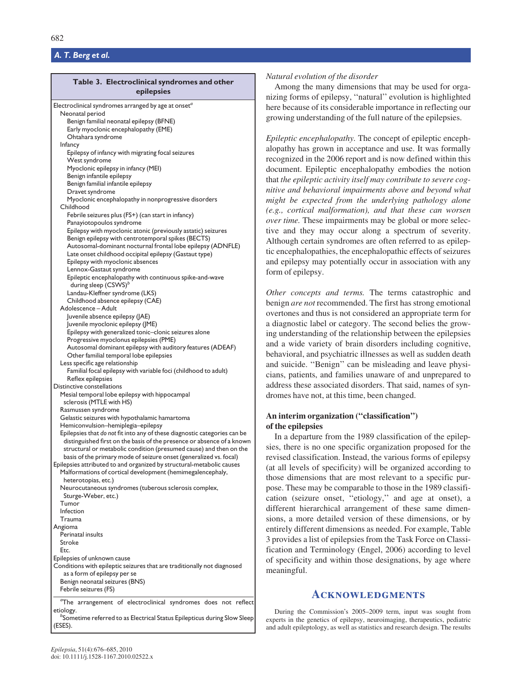### A. T. Berg et al.

#### Table 3. Electroclinical syndromes and other epilepsies Electroclinical syndromes arranged by age at onset<sup>a</sup> Neonatal period Benign familial neonatal epilepsy (BFNE) Early myoclonic encephalopathy (EME) Ohtahara syndrome Infancy Epilepsy of infancy with migrating focal seizures West syndrome Myoclonic epilepsy in infancy (MEI) Benign infantile epilepsy Benign familial infantile epilepsy Dravet syndrome Myoclonic encephalopathy in nonprogressive disorders Childhood Febrile seizures plus (FS+) (can start in infancy) Panayiotopoulos syndrome Epilepsy with myoclonic atonic (previously astatic) seizures Benign epilepsy with centrotemporal spikes (BECTS) Autosomal-dominant nocturnal frontal lobe epilepsy (ADNFLE) Late onset childhood occipital epilepsy (Gastaut type) Epilepsy with myoclonic absences Lennox-Gastaut syndrome Epileptic encephalopathy with continuous spike-and-wave during sleep  $(CSWS)^b$ Landau-Kleffner syndrome (LKS) Childhood absence epilepsy (CAE) Adolescence – Adult Juvenile absence epilepsy (JAE) Juvenile myoclonic epilepsy (JME) Epilepsy with generalized tonic–clonic seizures alone Progressive myoclonus epilepsies (PME) Autosomal dominant epilepsy with auditory features (ADEAF) Other familial temporal lobe epilepsies Less specific age relationship Familial focal epilepsy with variable foci (childhood to adult) Reflex epilepsies Distinctive constellations Mesial temporal lobe epilepsy with hippocampal sclerosis (MTLE with HS) Rasmussen syndrome Gelastic seizures with hypothalamic hamartoma Hemiconvulsion–hemiplegia–epilepsy Epilepsies that do not fit into any of these diagnostic categories can be distinguished first on the basis of the presence or absence of a known structural or metabolic condition (presumed cause) and then on the basis of the primary mode of seizure onset (generalized vs. focal) Epilepsies attributed to and organized by structural-metabolic causes Malformations of cortical development (hemimegalencephaly, heterotopias, etc.) Neurocutaneous syndromes (tuberous sclerosis complex, Sturge-Weber, etc.) Tumor Infection Trauma Angioma Perinatal insults Stroke Etc. Epilepsies of unknown cause Conditions with epileptic seizures that are traditionally not diagnosed as a form of epilepsy per se Benign neonatal seizures (BNS) Febrile seizures (FS) <sup>a</sup>The arrangement of electroclinical syndromes does not reflect etiology. <sup>b</sup> <sup>b</sup>Sometime referred to as Electrical Status Epilepticus during Slow Sleep (ESES).

#### Natural evolution of the disorder

Among the many dimensions that may be used for organizing forms of epilepsy, ''natural'' evolution is highlighted here because of its considerable importance in reflecting our growing understanding of the full nature of the epilepsies.

Epileptic encephalopathy. The concept of epileptic encephalopathy has grown in acceptance and use. It was formally recognized in the 2006 report and is now defined within this document. Epileptic encephalopathy embodies the notion that the epileptic activity itself may contribute to severe cognitive and behavioral impairments above and beyond what might be expected from the underlying pathology alone (e.g., cortical malformation), and that these can worsen over time. These impairments may be global or more selective and they may occur along a spectrum of severity. Although certain syndromes are often referred to as epileptic encephalopathies, the encephalopathic effects of seizures and epilepsy may potentially occur in association with any form of epilepsy.

Other concepts and terms. The terms catastrophic and benign *are not* recommended. The first has strong emotional overtones and thus is not considered an appropriate term for a diagnostic label or category. The second belies the growing understanding of the relationship between the epilepsies and a wide variety of brain disorders including cognitive, behavioral, and psychiatric illnesses as well as sudden death and suicide. ''Benign'' can be misleading and leave physicians, patients, and families unaware of and unprepared to address these associated disorders. That said, names of syndromes have not, at this time, been changed.

## An interim organization (''classification'') of the epilepsies

In a departure from the 1989 classification of the epilepsies, there is no one specific organization proposed for the revised classification. Instead, the various forms of epilepsy (at all levels of specificity) will be organized according to those dimensions that are most relevant to a specific purpose. These may be comparable to those in the 1989 classification (seizure onset, ''etiology,'' and age at onset), a different hierarchical arrangement of these same dimensions, a more detailed version of these dimensions, or by entirely different dimensions as needed. For example, Table 3 provides a list of epilepsies from the Task Force on Classification and Terminology (Engel, 2006) according to level of specificity and within those designations, by age where meaningful.

## **ACKNOWLEDGMENTS**

During the Commission's 2005–2009 term, input was sought from experts in the genetics of epilepsy, neuroimaging, therapeutics, pediatric and adult epileptology, as well as statistics and research design. The results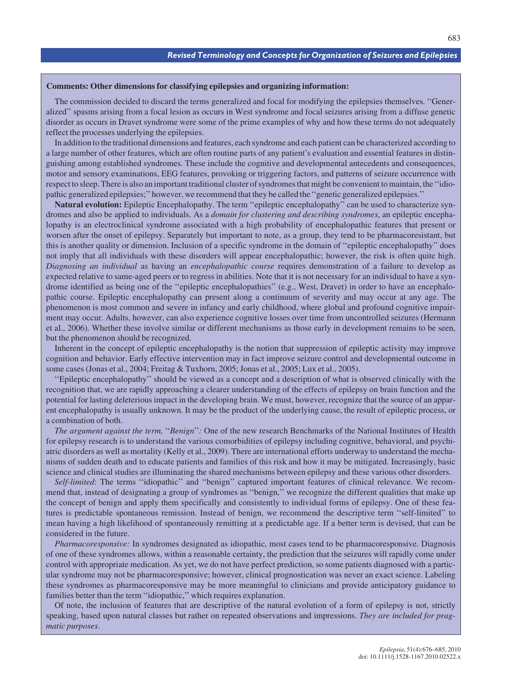#### Comments: Other dimensions for classifying epilepsies and organizing information:

The commission decided to discard the terms generalized and focal for modifying the epilepsies themselves. ''Generalized'' spasms arising from a focal lesion as occurs in West syndrome and focal seizures arising from a diffuse genetic disorder as occurs in Dravet syndrome were some of the prime examples of why and how these terms do not adequately reflect the processes underlying the epilepsies.

In addition to the traditional dimensions and features, each syndrome and each patient can be characterized according to a large number of other features, which are often routine parts of any patient's evaluation and essential features in distinguishing among established syndromes. These include the cognitive and developmental antecedents and consequences, motor and sensory examinations, EEG features, provoking or triggering factors, and patterns of seizure occurrence with respect to sleep. There is also an important traditional cluster of syndromes that might be convenient to maintain, the ''idiopathic generalized epilepsies;'' however, we recommend that they be called the ''genetic generalized epilepsies.''

Natural evolution: Epileptic Encephalopathy. The term "epileptic encephalopathy" can be used to characterize syndromes and also be applied to individuals. As a *domain for clustering and describing syndromes*, an epileptic encephalopathy is an electroclinical syndrome associated with a high probability of encephalopathic features that present or worsen after the onset of epilepsy. Separately but important to note, as a group, they tend to be pharmacoresistant, but this is another quality or dimension. Inclusion of a specific syndrome in the domain of ''epileptic encephalopathy'' does not imply that all individuals with these disorders will appear encephalopathic; however, the risk is often quite high. Diagnosing an individual as having an encephalopathic course requires demonstration of a failure to develop as expected relative to same-aged peers or to regress in abilities. Note that it is not necessary for an individual to have a syndrome identified as being one of the ''epileptic encephalopathies'' (e.g., West, Dravet) in order to have an encephalopathic course. Epileptic encephalopathy can present along a continuum of severity and may occur at any age. The phenomenon is most common and severe in infancy and early childhood, where global and profound cognitive impairment may occur. Adults, however, can also experience cognitive losses over time from uncontrolled seizures (Hermann et al., 2006). Whether these involve similar or different mechanisms as those early in development remains to be seen, but the phenomenon should be recognized.

Inherent in the concept of epileptic encephalopathy is the notion that suppression of epileptic activity may improve cognition and behavior. Early effective intervention may in fact improve seizure control and developmental outcome in some cases (Jonas et al., 2004; Freitag & Tuxhorn, 2005; Jonas et al., 2005; Lux et al., 2005).

''Epileptic encephalopathy'' should be viewed as a concept and a description of what is observed clinically with the recognition that, we are rapidly approaching a clearer understanding of the effects of epilepsy on brain function and the potential for lasting deleterious impact in the developing brain. We must, however, recognize that the source of an apparent encephalopathy is usually unknown. It may be the product of the underlying cause, the result of epileptic process, or a combination of both.

The argument against the term, "Benign": One of the new research Benchmarks of the National Institutes of Health for epilepsy research is to understand the various comorbidities of epilepsy including cognitive, behavioral, and psychiatric disorders as well as mortality (Kelly et al., 2009). There are international efforts underway to understand the mechanisms of sudden death and to educate patients and families of this risk and how it may be mitigated. Increasingly, basic science and clinical studies are illuminating the shared mechanisms between epilepsy and these various other disorders.

Self-limited: The terms ''idiopathic'' and ''benign'' captured important features of clinical relevance. We recommend that, instead of designating a group of syndromes as ''benign,'' we recognize the different qualities that make up the concept of benign and apply them specifically and consistently to individual forms of epilepsy. One of these features is predictable spontaneous remission. Instead of benign, we recommend the descriptive term ''self-limited'' to mean having a high likelihood of spontaneously remitting at a predictable age. If a better term is devised, that can be considered in the future.

Pharmacoresponsive: In syndromes designated as idiopathic, most cases tend to be pharmacoresponsive. Diagnosis of one of these syndromes allows, within a reasonable certainty, the prediction that the seizures will rapidly come under control with appropriate medication. As yet, we do not have perfect prediction, so some patients diagnosed with a particular syndrome may not be pharmacoresponsive; however, clinical prognostication was never an exact science. Labeling these syndromes as pharmacoresponsive may be more meaningful to clinicians and provide anticipatory guidance to families better than the term ''idiopathic,'' which requires explanation.

Of note, the inclusion of features that are descriptive of the natural evolution of a form of epilepsy is not, strictly speaking, based upon natural classes but rather on repeated observations and impressions. They are included for pragmatic purposes.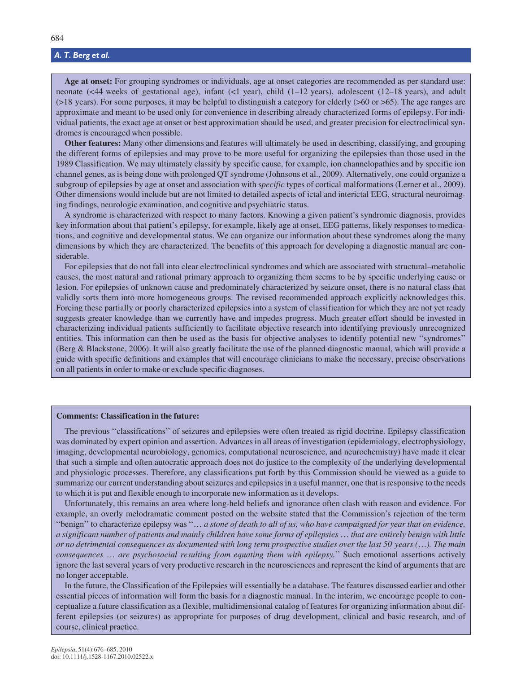## A. T. Berg et al.

Age at onset: For grouping syndromes or individuals, age at onset categories are recommended as per standard use: neonate (<44 weeks of gestational age), infant (<1 year), child (1–12 years), adolescent (12–18 years), and adult  $(>18$  years). For some purposes, it may be helpful to distinguish a category for elderly  $(>60$  or  $>65)$ . The age ranges are approximate and meant to be used only for convenience in describing already characterized forms of epilepsy. For individual patients, the exact age at onset or best approximation should be used, and greater precision for electroclinical syndromes is encouraged when possible.

Other features: Many other dimensions and features will ultimately be used in describing, classifying, and grouping the different forms of epilepsies and may prove to be more useful for organizing the epilepsies than those used in the 1989 Classification. We may ultimately classify by specific cause, for example, ion channelopathies and by specific ion channel genes, as is being done with prolonged QT syndrome (Johnsons et al., 2009). Alternatively, one could organize a subgroup of epilepsies by age at onset and association with specific types of cortical malformations (Lerner et al., 2009). Other dimensions would include but are not limited to detailed aspects of ictal and interictal EEG, structural neuroimaging findings, neurologic examination, and cognitive and psychiatric status.

A syndrome is characterized with respect to many factors. Knowing a given patient's syndromic diagnosis, provides key information about that patient's epilepsy, for example, likely age at onset, EEG patterns, likely responses to medications, and cognitive and developmental status. We can organize our information about these syndromes along the many dimensions by which they are characterized. The benefits of this approach for developing a diagnostic manual are considerable.

For epilepsies that do not fall into clear electroclinical syndromes and which are associated with structural–metabolic causes, the most natural and rational primary approach to organizing them seems to be by specific underlying cause or lesion. For epilepsies of unknown cause and predominately characterized by seizure onset, there is no natural class that validly sorts them into more homogeneous groups. The revised recommended approach explicitly acknowledges this. Forcing these partially or poorly characterized epilepsies into a system of classification for which they are not yet ready suggests greater knowledge than we currently have and impedes progress. Much greater effort should be invested in characterizing individual patients sufficiently to facilitate objective research into identifying previously unrecognized entities. This information can then be used as the basis for objective analyses to identify potential new ''syndromes'' (Berg & Blackstone, 2006). It will also greatly facilitate the use of the planned diagnostic manual, which will provide a guide with specific definitions and examples that will encourage clinicians to make the necessary, precise observations on all patients in order to make or exclude specific diagnoses.

#### Comments: Classification in the future:

The previous ''classifications'' of seizures and epilepsies were often treated as rigid doctrine. Epilepsy classification was dominated by expert opinion and assertion. Advances in all areas of investigation (epidemiology, electrophysiology, imaging, developmental neurobiology, genomics, computational neuroscience, and neurochemistry) have made it clear that such a simple and often autocratic approach does not do justice to the complexity of the underlying developmental and physiologic processes. Therefore, any classifications put forth by this Commission should be viewed as a guide to summarize our current understanding about seizures and epilepsies in a useful manner, one that is responsive to the needs to which it is put and flexible enough to incorporate new information as it develops.

Unfortunately, this remains an area where long-held beliefs and ignorance often clash with reason and evidence. For example, an overly melodramatic comment posted on the website stated that the Commission's rejection of the term ''benign'' to characterize epilepsy was ''… a stone of death to all of us, who have campaigned for year that on evidence, a significant number of patients and mainly children have some forms of epilepsies … that are entirely benign with little or no detrimental consequences as documented with long term prospective studies over the last 50 years (…). The main consequences ... are psychosocial resulting from equating them with epilepsy." Such emotional assertions actively ignore the last several years of very productive research in the neurosciences and represent the kind of arguments that are no longer acceptable.

In the future, the Classification of the Epilepsies will essentially be a database. The features discussed earlier and other essential pieces of information will form the basis for a diagnostic manual. In the interim, we encourage people to conceptualize a future classification as a flexible, multidimensional catalog of features for organizing information about different epilepsies (or seizures) as appropriate for purposes of drug development, clinical and basic research, and of course, clinical practice.